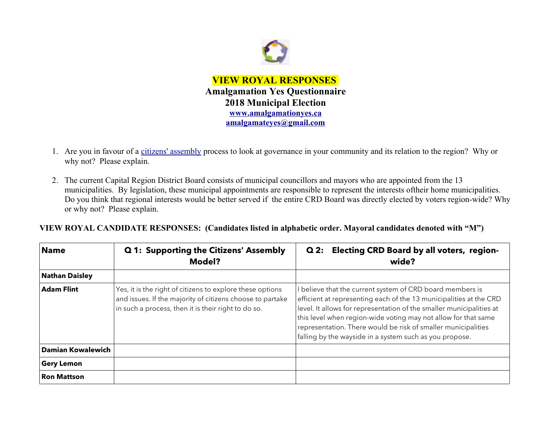

- 1. Are you in favour of a [citizens' assembly](https://en.wikipedia.org/wiki/Citizens) process to look at governance in your community and its relation to the region? Why or why not? Please explain.
- 2. The current Capital Region District Board consists of municipal councillors and mayors who are appointed from the 13 municipalities. By legislation, these municipal appointments are responsible to represent the interests oftheir home municipalities. Do you think that regional interests would be better served if the entire CRD Board was directly elected by voters region-wide? Why or why not? Please explain.

**VIEW ROYAL CANDIDATE RESPONSES: (Candidates listed in alphabetic order. Mayoral candidates denoted with "M")**

| <b>Name</b>              | Q 1: Supporting the Citizens' Assembly<br><b>Model?</b>                                                                                                                       | <b>Electing CRD Board by all voters, region-</b><br>Q2:<br>wide?                                                                                                                                                                                                                                                                                                                                      |
|--------------------------|-------------------------------------------------------------------------------------------------------------------------------------------------------------------------------|-------------------------------------------------------------------------------------------------------------------------------------------------------------------------------------------------------------------------------------------------------------------------------------------------------------------------------------------------------------------------------------------------------|
| <b>Nathan Daisley</b>    |                                                                                                                                                                               |                                                                                                                                                                                                                                                                                                                                                                                                       |
| <b>Adam Flint</b>        | Yes, it is the right of citizens to explore these options<br>and issues. If the majority of citizens choose to partake<br>in such a process, then it is their right to do so. | I believe that the current system of CRD board members is<br>efficient at representing each of the 13 municipalities at the CRD<br>level. It allows for representation of the smaller municipalities at<br>this level when region-wide voting may not allow for that same<br>representation. There would be risk of smaller municipalities<br>falling by the wayside in a system such as you propose. |
| <b>Damian Kowalewich</b> |                                                                                                                                                                               |                                                                                                                                                                                                                                                                                                                                                                                                       |
| <b>Gery Lemon</b>        |                                                                                                                                                                               |                                                                                                                                                                                                                                                                                                                                                                                                       |
| <b>Ron Mattson</b>       |                                                                                                                                                                               |                                                                                                                                                                                                                                                                                                                                                                                                       |